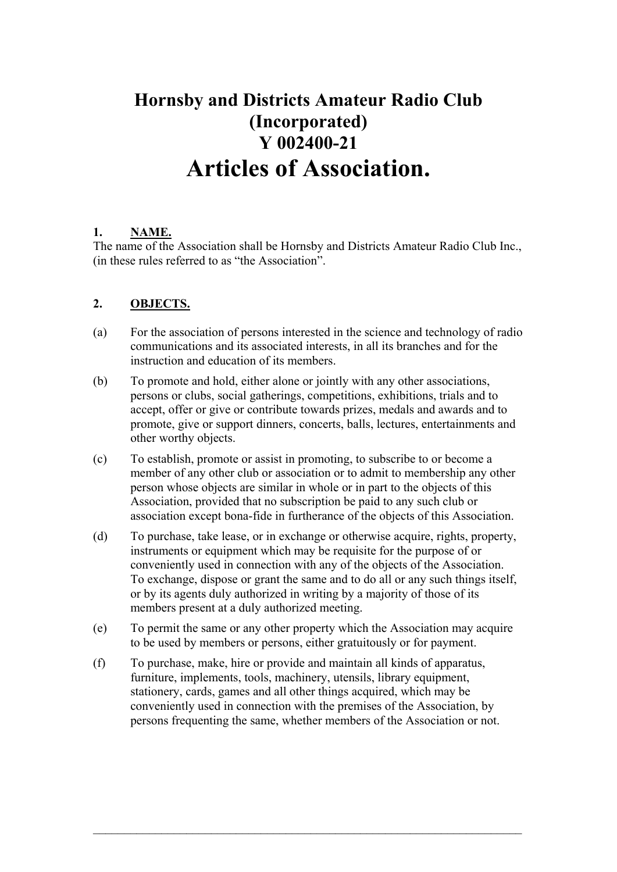# **Hornsby and Districts Amateur Radio Club (Incorporated) Y 002400-21 Articles of Association.**

## **1. NAME.**

The name of the Association shall be Hornsby and Districts Amateur Radio Club Inc., (in these rules referred to as "the Association".

## **2. OBJECTS.**

- (a) For the association of persons interested in the science and technology of radio communications and its associated interests, in all its branches and for the instruction and education of its members.
- (b) To promote and hold, either alone or jointly with any other associations, persons or clubs, social gatherings, competitions, exhibitions, trials and to accept, offer or give or contribute towards prizes, medals and awards and to promote, give or support dinners, concerts, balls, lectures, entertainments and other worthy objects.
- (c) To establish, promote or assist in promoting, to subscribe to or become a member of any other club or association or to admit to membership any other person whose objects are similar in whole or in part to the objects of this Association, provided that no subscription be paid to any such club or association except bona-fide in furtherance of the objects of this Association.
- (d) To purchase, take lease, or in exchange or otherwise acquire, rights, property, instruments or equipment which may be requisite for the purpose of or conveniently used in connection with any of the objects of the Association. To exchange, dispose or grant the same and to do all or any such things itself, or by its agents duly authorized in writing by a majority of those of its members present at a duly authorized meeting.
- (e) To permit the same or any other property which the Association may acquire to be used by members or persons, either gratuitously or for payment.
- (f) To purchase, make, hire or provide and maintain all kinds of apparatus, furniture, implements, tools, machinery, utensils, library equipment, stationery, cards, games and all other things acquired, which may be conveniently used in connection with the premises of the Association, by persons frequenting the same, whether members of the Association or not.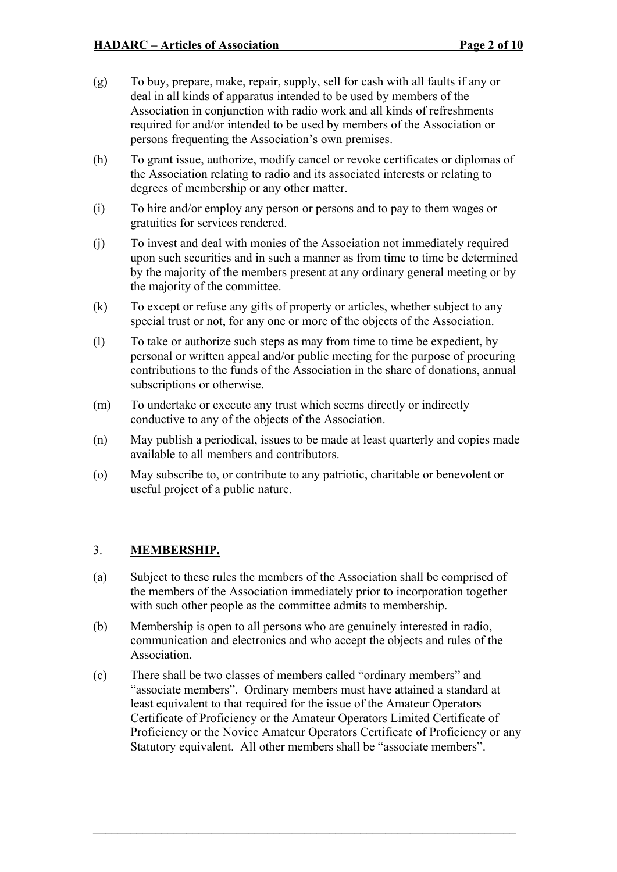- (g) To buy, prepare, make, repair, supply, sell for cash with all faults if any or deal in all kinds of apparatus intended to be used by members of the Association in conjunction with radio work and all kinds of refreshments required for and/or intended to be used by members of the Association or persons frequenting the Association's own premises.
- (h) To grant issue, authorize, modify cancel or revoke certificates or diplomas of the Association relating to radio and its associated interests or relating to degrees of membership or any other matter.
- (i) To hire and/or employ any person or persons and to pay to them wages or gratuities for services rendered.
- (j) To invest and deal with monies of the Association not immediately required upon such securities and in such a manner as from time to time be determined by the majority of the members present at any ordinary general meeting or by the majority of the committee.
- (k) To except or refuse any gifts of property or articles, whether subject to any special trust or not, for any one or more of the objects of the Association.
- (l) To take or authorize such steps as may from time to time be expedient, by personal or written appeal and/or public meeting for the purpose of procuring contributions to the funds of the Association in the share of donations, annual subscriptions or otherwise.
- (m) To undertake or execute any trust which seems directly or indirectly conductive to any of the objects of the Association.
- (n) May publish a periodical, issues to be made at least quarterly and copies made available to all members and contributors.
- (o) May subscribe to, or contribute to any patriotic, charitable or benevolent or useful project of a public nature.

#### 3. **MEMBERSHIP.**

- (a) Subject to these rules the members of the Association shall be comprised of the members of the Association immediately prior to incorporation together with such other people as the committee admits to membership.
- (b) Membership is open to all persons who are genuinely interested in radio, communication and electronics and who accept the objects and rules of the Association.
- (c) There shall be two classes of members called "ordinary members" and "associate members". Ordinary members must have attained a standard at least equivalent to that required for the issue of the Amateur Operators Certificate of Proficiency or the Amateur Operators Limited Certificate of Proficiency or the Novice Amateur Operators Certificate of Proficiency or any Statutory equivalent. All other members shall be "associate members".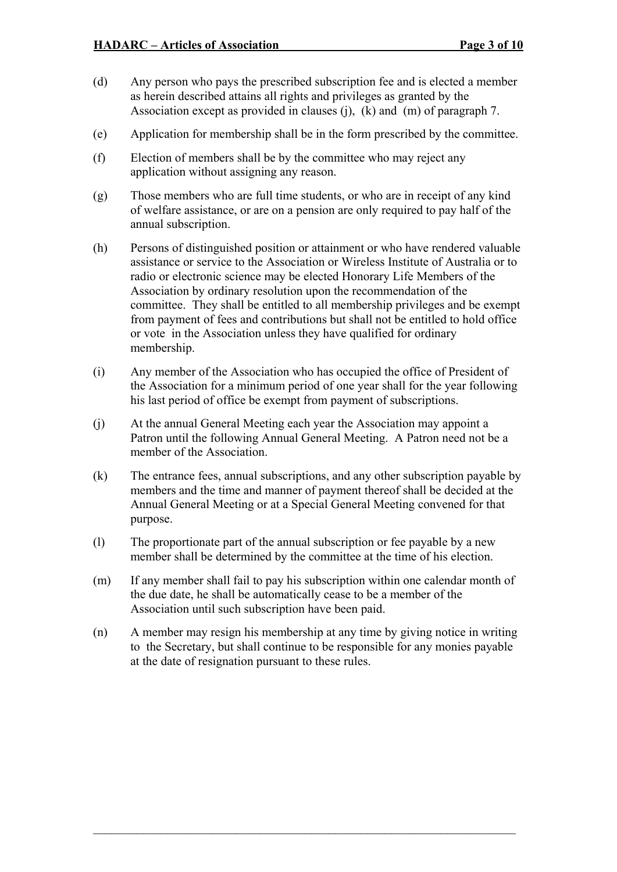- (d) Any person who pays the prescribed subscription fee and is elected a member as herein described attains all rights and privileges as granted by the Association except as provided in clauses (j), (k) and (m) of paragraph 7.
- (e) Application for membership shall be in the form prescribed by the committee.
- (f) Election of members shall be by the committee who may reject any application without assigning any reason.
- (g) Those members who are full time students, or who are in receipt of any kind of welfare assistance, or are on a pension are only required to pay half of the annual subscription.
- (h) Persons of distinguished position or attainment or who have rendered valuable assistance or service to the Association or Wireless Institute of Australia or to radio or electronic science may be elected Honorary Life Members of the Association by ordinary resolution upon the recommendation of the committee. They shall be entitled to all membership privileges and be exempt from payment of fees and contributions but shall not be entitled to hold office or vote in the Association unless they have qualified for ordinary membership.
- (i) Any member of the Association who has occupied the office of President of the Association for a minimum period of one year shall for the year following his last period of office be exempt from payment of subscriptions.
- (j) At the annual General Meeting each year the Association may appoint a Patron until the following Annual General Meeting. A Patron need not be a member of the Association.
- (k) The entrance fees, annual subscriptions, and any other subscription payable by members and the time and manner of payment thereof shall be decided at the Annual General Meeting or at a Special General Meeting convened for that purpose.
- (l) The proportionate part of the annual subscription or fee payable by a new member shall be determined by the committee at the time of his election.
- (m) If any member shall fail to pay his subscription within one calendar month of the due date, he shall be automatically cease to be a member of the Association until such subscription have been paid.
- (n) A member may resign his membership at any time by giving notice in writing to the Secretary, but shall continue to be responsible for any monies payable at the date of resignation pursuant to these rules.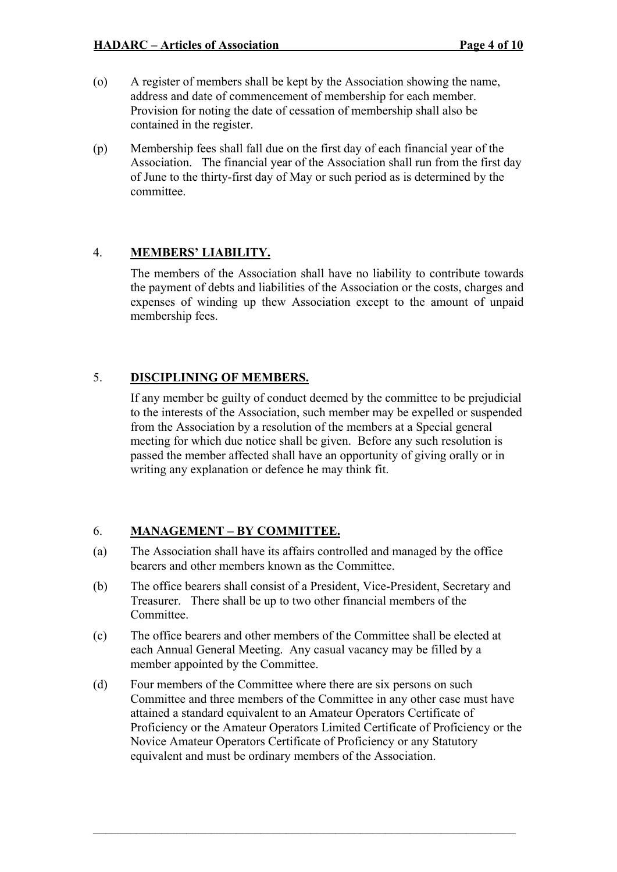- (o) A register of members shall be kept by the Association showing the name, address and date of commencement of membership for each member. Provision for noting the date of cessation of membership shall also be contained in the register.
- (p) Membership fees shall fall due on the first day of each financial year of the Association. The financial year of the Association shall run from the first day of June to the thirty-first day of May or such period as is determined by the committee.

#### 4. **MEMBERS' LIABILITY.**

The members of the Association shall have no liability to contribute towards the payment of debts and liabilities of the Association or the costs, charges and expenses of winding up thew Association except to the amount of unpaid membership fees.

# 5. **DISCIPLINING OF MEMBERS.**

If any member be guilty of conduct deemed by the committee to be prejudicial to the interests of the Association, such member may be expelled or suspended from the Association by a resolution of the members at a Special general meeting for which due notice shall be given. Before any such resolution is passed the member affected shall have an opportunity of giving orally or in writing any explanation or defence he may think fit.

# 6. **MANAGEMENT – BY COMMITTEE.**

- (a) The Association shall have its affairs controlled and managed by the office bearers and other members known as the Committee.
- (b) The office bearers shall consist of a President, Vice-President, Secretary and Treasurer. There shall be up to two other financial members of the Committee.
- (c) The office bearers and other members of the Committee shall be elected at each Annual General Meeting. Any casual vacancy may be filled by a member appointed by the Committee.
- (d) Four members of the Committee where there are six persons on such Committee and three members of the Committee in any other case must have attained a standard equivalent to an Amateur Operators Certificate of Proficiency or the Amateur Operators Limited Certificate of Proficiency or the Novice Amateur Operators Certificate of Proficiency or any Statutory equivalent and must be ordinary members of the Association.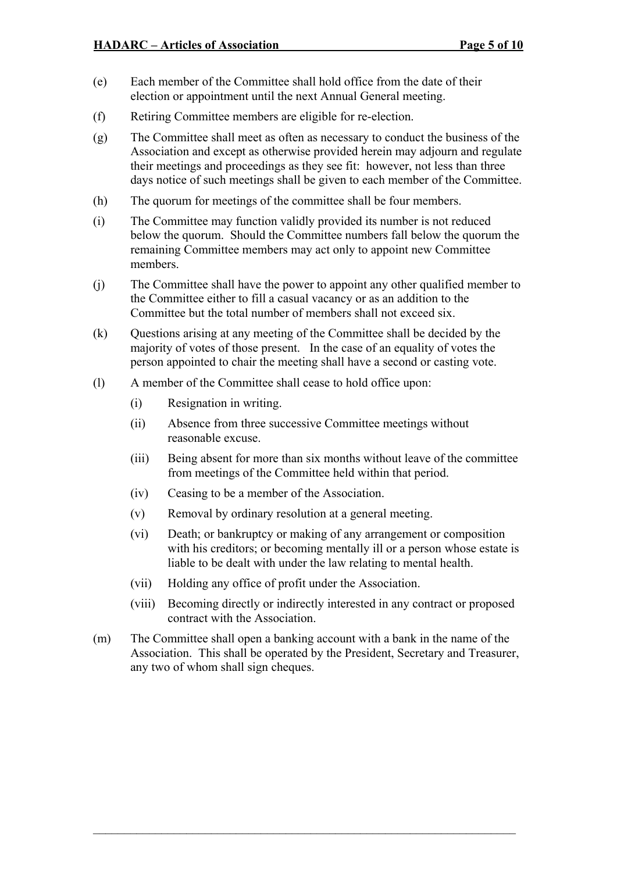- (e) Each member of the Committee shall hold office from the date of their election or appointment until the next Annual General meeting.
- (f) Retiring Committee members are eligible for re-election.
- (g) The Committee shall meet as often as necessary to conduct the business of the Association and except as otherwise provided herein may adjourn and regulate their meetings and proceedings as they see fit: however, not less than three days notice of such meetings shall be given to each member of the Committee.
- (h) The quorum for meetings of the committee shall be four members.
- (i) The Committee may function validly provided its number is not reduced below the quorum. Should the Committee numbers fall below the quorum the remaining Committee members may act only to appoint new Committee members.
- (j) The Committee shall have the power to appoint any other qualified member to the Committee either to fill a casual vacancy or as an addition to the Committee but the total number of members shall not exceed six.
- (k) Questions arising at any meeting of the Committee shall be decided by the majority of votes of those present. In the case of an equality of votes the person appointed to chair the meeting shall have a second or casting vote.
- (l) A member of the Committee shall cease to hold office upon:
	- (i) Resignation in writing.
	- (ii) Absence from three successive Committee meetings without reasonable excuse.
	- (iii) Being absent for more than six months without leave of the committee from meetings of the Committee held within that period.
	- (iv) Ceasing to be a member of the Association.
	- (v) Removal by ordinary resolution at a general meeting.
	- (vi) Death; or bankruptcy or making of any arrangement or composition with his creditors; or becoming mentally ill or a person whose estate is liable to be dealt with under the law relating to mental health.
	- (vii) Holding any office of profit under the Association.
	- (viii) Becoming directly or indirectly interested in any contract or proposed contract with the Association.
- (m) The Committee shall open a banking account with a bank in the name of the Association. This shall be operated by the President, Secretary and Treasurer, any two of whom shall sign cheques.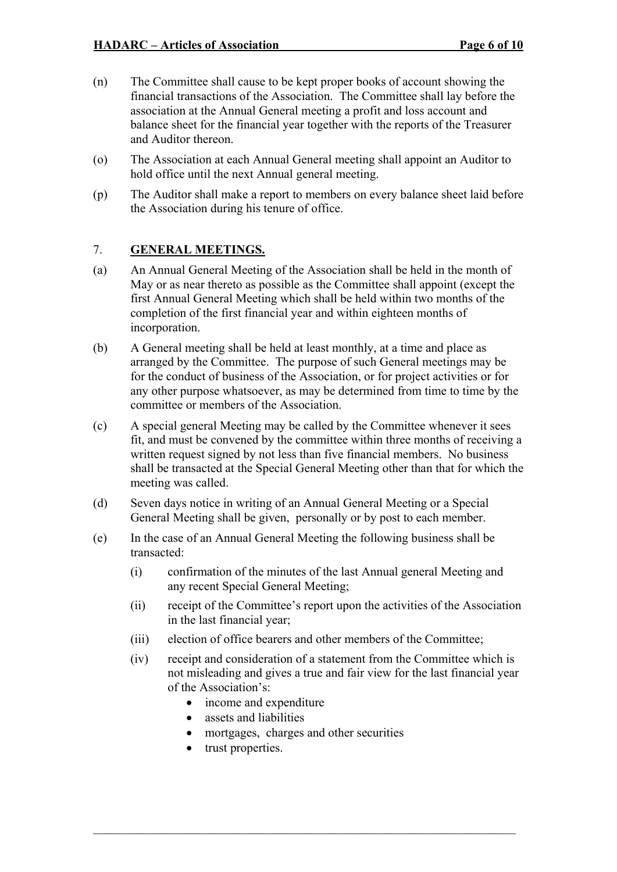- (n) The Committee shall cause to be kept proper books of account showing the financial transactions of the Association. The Committee shall lay before the association at the Annual General meeting a profit and loss account and balance sheet for the financial year together with the reports of the Treasurer and Auditor thereon.
- (o) The Association at each Annual General meeting shall appoint an Auditor to hold office until the next Annual general meeting.
- (p) The Auditor shall make a report to members on every balance sheet laid before the Association during his tenure of office.

#### 7. **GENERAL MEETINGS.**

- (a) An Annual General Meeting of the Association shall be held in the month of May or as near thereto as possible as the Committee shall appoint (except the first Annual General Meeting which shall be held within two months of the completion of the first financial year and within eighteen months of incorporation.
- (b) A General meeting shall be held at least monthly, at a time and place as arranged by the Committee. The purpose of such General meetings may be for the conduct of business of the Association, or for project activities or for any other purpose whatsoever, as may be determined from time to time by the committee or members of the Association.
- (c) A special general Meeting may be called by the Committee whenever it sees fit, and must be convened by the committee within three months of receiving a written request signed by not less than five financial members. No business shall be transacted at the Special General Meeting other than that for which the meeting was called.
- (d) Seven days notice in writing of an Annual General Meeting or a Special General Meeting shall be given, personally or by post to each member.
- (e) In the case of an Annual General Meeting the following business shall be transacted:
	- (i) confirmation of the minutes of the last Annual general Meeting and any recent Special General Meeting;
	- (ii) receipt of the Committee's report upon the activities of the Association in the last financial year;
	- (iii) election of office bearers and other members of the Committee;
	- (iv) receipt and consideration of a statement from the Committee which is not misleading and gives a true and fair view for the last financial year of the Association's:
		- income and expenditure
		- assets and liabilities
		- mortgages, charges and other securities
		- trust properties.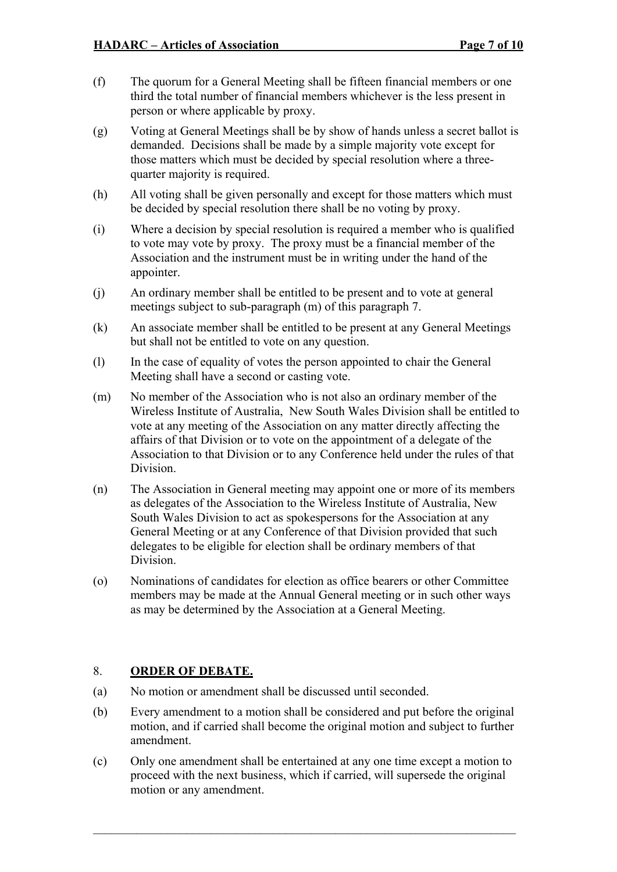- (f) The quorum for a General Meeting shall be fifteen financial members or one third the total number of financial members whichever is the less present in person or where applicable by proxy.
- (g) Voting at General Meetings shall be by show of hands unless a secret ballot is demanded. Decisions shall be made by a simple majority vote except for those matters which must be decided by special resolution where a threequarter majority is required.
- (h) All voting shall be given personally and except for those matters which must be decided by special resolution there shall be no voting by proxy.
- (i) Where a decision by special resolution is required a member who is qualified to vote may vote by proxy. The proxy must be a financial member of the Association and the instrument must be in writing under the hand of the appointer.
- (j) An ordinary member shall be entitled to be present and to vote at general meetings subject to sub-paragraph (m) of this paragraph 7.
- (k) An associate member shall be entitled to be present at any General Meetings but shall not be entitled to vote on any question.
- (l) In the case of equality of votes the person appointed to chair the General Meeting shall have a second or casting vote.
- (m) No member of the Association who is not also an ordinary member of the Wireless Institute of Australia, New South Wales Division shall be entitled to vote at any meeting of the Association on any matter directly affecting the affairs of that Division or to vote on the appointment of a delegate of the Association to that Division or to any Conference held under the rules of that Division.
- (n) The Association in General meeting may appoint one or more of its members as delegates of the Association to the Wireless Institute of Australia, New South Wales Division to act as spokespersons for the Association at any General Meeting or at any Conference of that Division provided that such delegates to be eligible for election shall be ordinary members of that Division.
- (o) Nominations of candidates for election as office bearers or other Committee members may be made at the Annual General meeting or in such other ways as may be determined by the Association at a General Meeting.

#### 8. **ORDER OF DEBATE.**

- (a) No motion or amendment shall be discussed until seconded.
- (b) Every amendment to a motion shall be considered and put before the original motion, and if carried shall become the original motion and subject to further amendment.
- (c) Only one amendment shall be entertained at any one time except a motion to proceed with the next business, which if carried, will supersede the original motion or any amendment.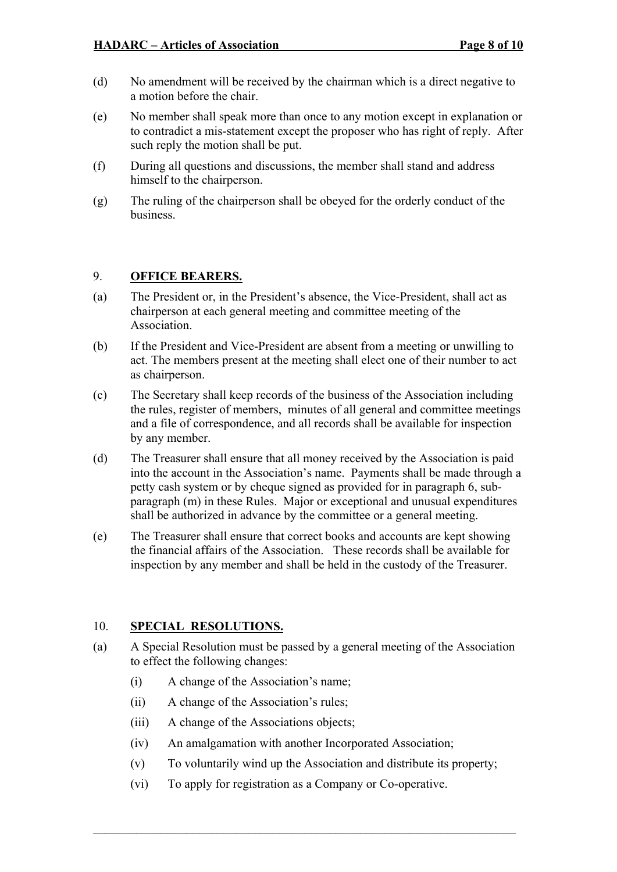- (d) No amendment will be received by the chairman which is a direct negative to a motion before the chair.
- (e) No member shall speak more than once to any motion except in explanation or to contradict a mis-statement except the proposer who has right of reply. After such reply the motion shall be put.
- (f) During all questions and discussions, the member shall stand and address himself to the chairperson.
- (g) The ruling of the chairperson shall be obeyed for the orderly conduct of the business.

#### 9. **OFFICE BEARERS.**

- (a) The President or, in the President's absence, the Vice-President, shall act as chairperson at each general meeting and committee meeting of the Association.
- (b) If the President and Vice-President are absent from a meeting or unwilling to act. The members present at the meeting shall elect one of their number to act as chairperson.
- (c) The Secretary shall keep records of the business of the Association including the rules, register of members, minutes of all general and committee meetings and a file of correspondence, and all records shall be available for inspection by any member.
- (d) The Treasurer shall ensure that all money received by the Association is paid into the account in the Association's name. Payments shall be made through a petty cash system or by cheque signed as provided for in paragraph 6, subparagraph (m) in these Rules. Major or exceptional and unusual expenditures shall be authorized in advance by the committee or a general meeting.
- (e) The Treasurer shall ensure that correct books and accounts are kept showing the financial affairs of the Association. These records shall be available for inspection by any member and shall be held in the custody of the Treasurer.

#### 10. **SPECIAL RESOLUTIONS.**

- (a) A Special Resolution must be passed by a general meeting of the Association to effect the following changes:
	- (i) A change of the Association's name;
	- (ii) A change of the Association's rules;
	- (iii) A change of the Associations objects;
	- (iv) An amalgamation with another Incorporated Association;
	- (v) To voluntarily wind up the Association and distribute its property;
	- (vi) To apply for registration as a Company or Co-operative.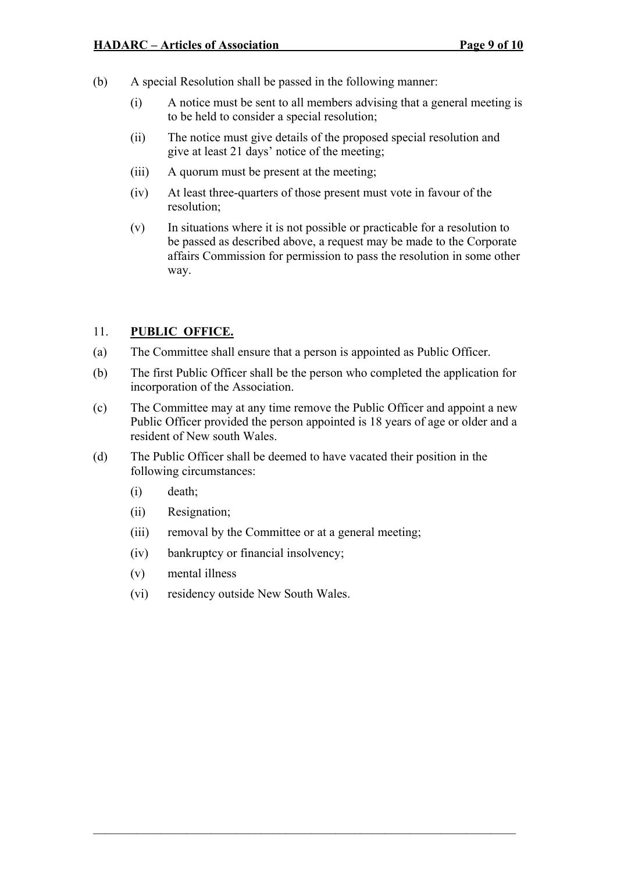- (b) A special Resolution shall be passed in the following manner:
	- (i) A notice must be sent to all members advising that a general meeting is to be held to consider a special resolution;
	- (ii) The notice must give details of the proposed special resolution and give at least 21 days' notice of the meeting;
	- (iii) A quorum must be present at the meeting;
	- (iv) At least three-quarters of those present must vote in favour of the resolution;
	- (v) In situations where it is not possible or practicable for a resolution to be passed as described above, a request may be made to the Corporate affairs Commission for permission to pass the resolution in some other way.

## 11. **PUBLIC OFFICE.**

- (a) The Committee shall ensure that a person is appointed as Public Officer.
- (b) The first Public Officer shall be the person who completed the application for incorporation of the Association.
- (c) The Committee may at any time remove the Public Officer and appoint a new Public Officer provided the person appointed is 18 years of age or older and a resident of New south Wales.
- (d) The Public Officer shall be deemed to have vacated their position in the following circumstances:
	- (i) death;
	- (ii) Resignation;
	- (iii) removal by the Committee or at a general meeting;
	- (iv) bankruptcy or financial insolvency;
	- (v) mental illness
	- (vi) residency outside New South Wales.